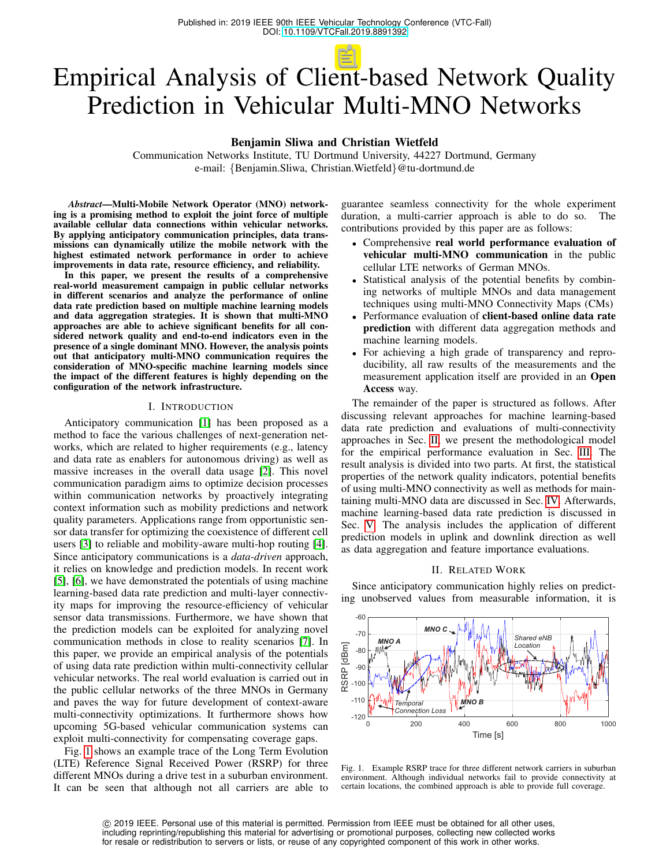# Empirical Analysis of Client-based Network Quality Prediction in Vehicular Multi-MNO Networks

Benjamin Sliwa and Christian Wietfeld

Communication Networks Institute, TU Dortmund University, 44227 Dortmund, Germany e-mail: {Benjamin.Sliwa, Christian.Wietfeld}@tu-dortmund.de

*Abstract*—Multi-Mobile Network Operator (MNO) networking is a promising method to exploit the joint force of multiple available cellular data connections within vehicular networks. By applying anticipatory communication principles, data transmissions can dynamically utilize the mobile network with the highest estimated network performance in order to achieve improvements in data rate, resource efficiency, and reliability.

In this paper, we present the results of a comprehensive real-world measurement campaign in public cellular networks in different scenarios and analyze the performance of online data rate prediction based on multiple machine learning models and data aggregation strategies. It is shown that multi-MNO approaches are able to achieve significant benefits for all considered network quality and end-to-end indicators even in the presence of a single dominant MNO. However, the analysis points out that anticipatory multi-MNO communication requires the consideration of MNO-specific machine learning models since the impact of the different features is highly depending on the configuration of the network infrastructure.

#### I. INTRODUCTION

Anticipatory communication [\[1\]](#page-6-0) has been proposed as a method to face the various challenges of next-generation networks, which are related to higher requirements (e.g., latency and data rate as enablers for autonomous driving) as well as massive increases in the overall data usage [\[2\]](#page-6-1). This novel communication paradigm aims to optimize decision processes within communication networks by proactively integrating context information such as mobility predictions and network quality parameters. Applications range from opportunistic sensor data transfer for optimizing the coexistence of different cell users [\[3\]](#page-6-2) to reliable and mobility-aware multi-hop routing [\[4\]](#page-6-3). Since anticipatory communications is a *data-driven* approach, it relies on knowledge and prediction models. In recent work [\[5\]](#page-6-4), [\[6\]](#page-6-5), we have demonstrated the potentials of using machine learning-based data rate prediction and multi-layer connectivity maps for improving the resource-efficiency of vehicular sensor data transmissions. Furthermore, we have shown that the prediction models can be exploited for analyzing novel communication methods in close to reality scenarios [\[7\]](#page-6-6). In this paper, we provide an empirical analysis of the potentials of using data rate prediction within multi-connectivity cellular vehicular networks. The real world evaluation is carried out in the public cellular networks of the three MNOs in Germany and paves the way for future development of context-aware multi-connectivity optimizations. It furthermore shows how upcoming 5G-based vehicular communication systems can exploit multi-connectivity for compensating coverage gaps.

Fig. [1](#page-0-0) shows an example trace of the Long Term Evolution (LTE) Reference Signal Received Power (RSRP) for three different MNOs during a drive test in a suburban environment. It can be seen that although not all carriers are able to guarantee seamless connectivity for the whole experiment duration, a multi-carrier approach is able to do so. The contributions provided by this paper are as follows:

- Comprehensive real world performance evaluation of vehicular multi-MNO communication in the public cellular LTE networks of German MNOs.
- Statistical analysis of the potential benefits by combining networks of multiple MNOs and data management techniques using multi-MNO Connectivity Maps (CMs)
- Performance evaluation of **client-based online data rate** prediction with different data aggregation methods and machine learning models.
- For achieving a high grade of transparency and reproducibility, all raw results of the measurements and the measurement application itself are provided in an Open Access way.

The remainder of the paper is structured as follows. After discussing relevant approaches for machine learning-based data rate prediction and evaluations of multi-connectivity approaches in Sec. [II,](#page-0-1) we present the methodological model for the empirical performance evaluation in Sec. [III.](#page-1-0) The result analysis is divided into two parts. At first, the statistical properties of the network quality indicators, potential benefits of using multi-MNO connectivity as well as methods for maintaining multi-MNO data are discussed in Sec. [IV.](#page-2-0) Afterwards, machine learning-based data rate prediction is discussed in Sec. [V.](#page-2-1) The analysis includes the application of different prediction models in uplink and downlink direction as well as data aggregation and feature importance evaluations.

## II. RELATED WORK

<span id="page-0-1"></span>Since anticipatory communication highly relies on predicting unobserved values from measurable information, it is



<span id="page-0-0"></span>Fig. 1. Example RSRP trace for three different network carriers in suburban environment. Although individual networks fail to provide connectivity at certain locations, the combined approach is able to provide full coverage.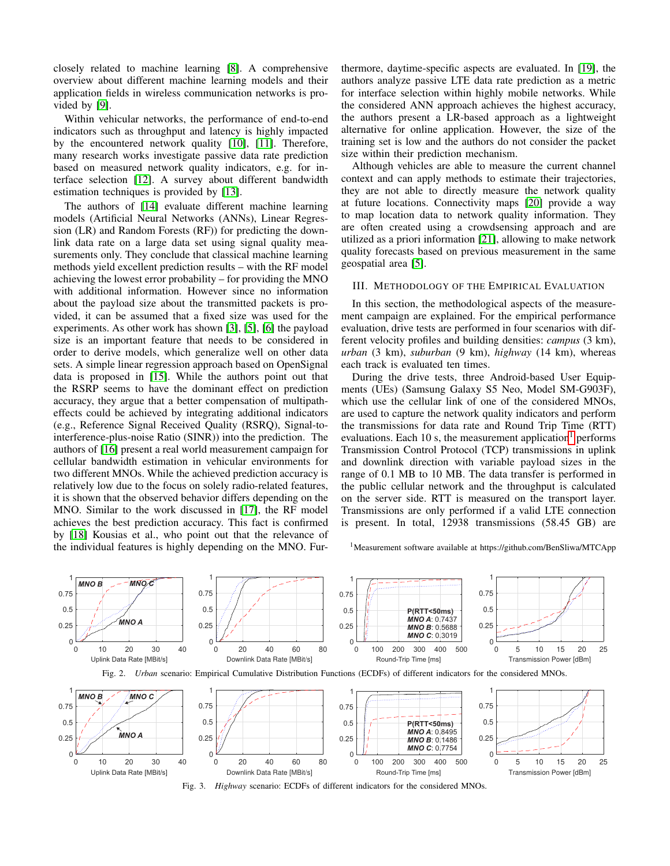closely related to machine learning [\[8\]](#page-6-7). A comprehensive overview about different machine learning models and their application fields in wireless communication networks is provided by [\[9\]](#page-6-8).

Within vehicular networks, the performance of end-to-end indicators such as throughput and latency is highly impacted by the encountered network quality [\[10\]](#page-6-9), [\[11\]](#page-6-10). Therefore, many research works investigate passive data rate prediction based on measured network quality indicators, e.g. for interface selection [\[12\]](#page-6-11). A survey about different bandwidth estimation techniques is provided by [\[13\]](#page-6-12).

The authors of [\[14\]](#page-6-13) evaluate different machine learning models (Artificial Neural Networks (ANNs), Linear Regression (LR) and Random Forests (RF)) for predicting the downlink data rate on a large data set using signal quality measurements only. They conclude that classical machine learning methods yield excellent prediction results – with the RF model achieving the lowest error probability – for providing the MNO with additional information. However since no information about the payload size about the transmitted packets is provided, it can be assumed that a fixed size was used for the experiments. As other work has shown [\[3\]](#page-6-2), [\[5\]](#page-6-4), [\[6\]](#page-6-5) the payload size is an important feature that needs to be considered in order to derive models, which generalize well on other data sets. A simple linear regression approach based on OpenSignal data is proposed in [\[15\]](#page-6-14). While the authors point out that the RSRP seems to have the dominant effect on prediction accuracy, they argue that a better compensation of multipatheffects could be achieved by integrating additional indicators (e.g., Reference Signal Received Quality (RSRQ), Signal-tointerference-plus-noise Ratio (SINR)) into the prediction. The authors of [\[16\]](#page-6-15) present a real world measurement campaign for cellular bandwidth estimation in vehicular environments for two different MNOs. While the achieved prediction accuracy is relatively low due to the focus on solely radio-related features, it is shown that the observed behavior differs depending on the MNO. Similar to the work discussed in [\[17\]](#page-6-16), the RF model achieves the best prediction accuracy. This fact is confirmed by [\[18\]](#page-6-17) Kousias et al., who point out that the relevance of the individual features is highly depending on the MNO. Furthermore, daytime-specific aspects are evaluated. In [\[19\]](#page-6-18), the authors analyze passive LTE data rate prediction as a metric for interface selection within highly mobile networks. While the considered ANN approach achieves the highest accuracy, the authors present a LR-based approach as a lightweight alternative for online application. However, the size of the training set is low and the authors do not consider the packet size within their prediction mechanism.

Although vehicles are able to measure the current channel context and can apply methods to estimate their trajectories, they are not able to directly measure the network quality at future locations. Connectivity maps [\[20\]](#page-6-19) provide a way to map location data to network quality information. They are often created using a crowdsensing approach and are utilized as a priori information [\[21\]](#page-6-20), allowing to make network quality forecasts based on previous measurement in the same geospatial area [\[5\]](#page-6-4).

### <span id="page-1-0"></span>III. METHODOLOGY OF THE EMPIRICAL EVALUATION

In this section, the methodological aspects of the measurement campaign are explained. For the empirical performance evaluation, drive tests are performed in four scenarios with different velocity profiles and building densities: *campus* (3 km), *urban* (3 km), *suburban* (9 km), *highway* (14 km), whereas each track is evaluated ten times.

During the drive tests, three Android-based User Equipments (UEs) (Samsung Galaxy S5 Neo, Model SM-G903F), which use the cellular link of one of the considered MNOs, are used to capture the network quality indicators and perform the transmissions for data rate and Round Trip Time (RTT) evaluations. Each [1](#page-1-1)0 s, the measurement application<sup>1</sup> performs Transmission Control Protocol (TCP) transmissions in uplink and downlink direction with variable payload sizes in the range of 0.1 MB to 10 MB. The data transfer is performed in the public cellular network and the throughput is calculated on the server side. RTT is measured on the transport layer. Transmissions are only performed if a valid LTE connection is present. In total, 12938 transmissions (58.45 GB) are

<span id="page-1-3"></span><span id="page-1-2"></span><span id="page-1-1"></span><sup>1</sup>Measurement software available at https://github.com/BenSliwa/MTCApp

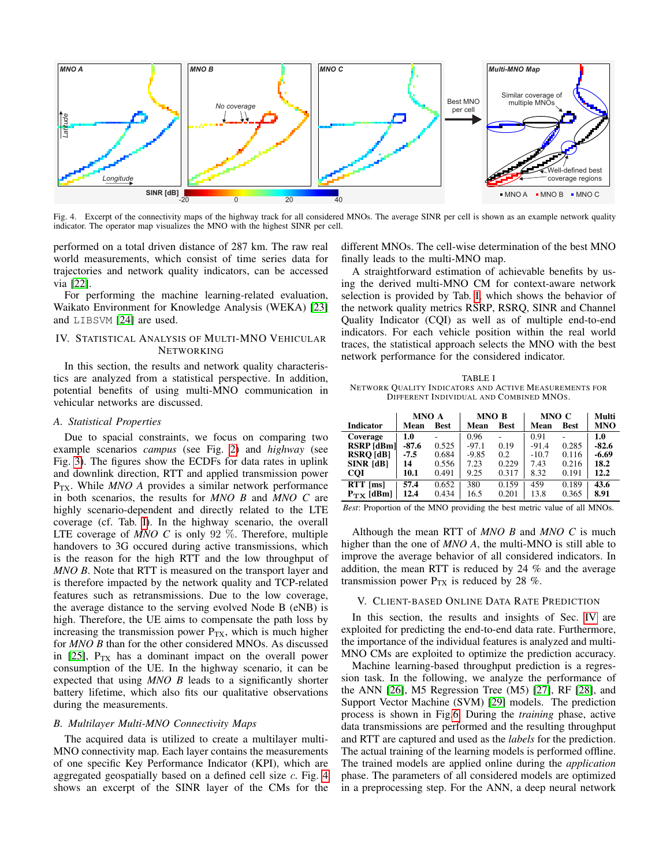

Fig. 4. Excerpt of the connectivity maps of the highway track for all considered MNOs. The average SINR per cell is shown as an example network quality indicator. The operator map visualizes the MNO with the highest SINR per cell.

performed on a total driven distance of 287 km. The raw real world measurements, which consist of time series data for trajectories and network quality indicators, can be accessed via [\[22\]](#page-6-21).

For performing the machine learning-related evaluation, Waikato Environment for Knowledge Analysis (WEKA) [\[23\]](#page-6-22) and LIBSVM [\[24\]](#page-6-23) are used.

# <span id="page-2-0"></span>IV. STATISTICAL ANALYSIS OF MULTI-MNO VEHICULAR **NETWORKING**

In this section, the results and network quality characteristics are analyzed from a statistical perspective. In addition, potential benefits of using multi-MNO communication in vehicular networks are discussed.

## *A. Statistical Properties*

Due to spacial constraints, we focus on comparing two example scenarios *campus* (see Fig. [2\)](#page-1-2) and *highway* (see Fig. [3\)](#page-1-3). The figures show the ECDFs for data rates in uplink and downlink direction, RTT and applied transmission power P<sub>TX</sub>. While *MNO A* provides a similar network performance in both scenarios, the results for *MNO B* and *MNO C* are highly scenario-dependent and directly related to the LTE coverage (cf. Tab. [I\)](#page-2-2). In the highway scenario, the overall LTE coverage of *MNO C* is only 92 %. Therefore, multiple handovers to 3G occured during active transmissions, which is the reason for the high RTT and the low throughput of *MNO B*. Note that RTT is measured on the transport layer and is therefore impacted by the network quality and TCP-related features such as retransmissions. Due to the low coverage, the average distance to the serving evolved Node B (eNB) is high. Therefore, the UE aims to compensate the path loss by increasing the transmission power  $P_{TX}$ , which is much higher for *MNO B* than for the other considered MNOs. As discussed in  $[25]$ ,  $P_{TX}$  has a dominant impact on the overall power consumption of the UE. In the highway scenario, it can be expected that using *MNO B* leads to a significantly shorter battery lifetime, which also fits our qualitative observations during the measurements.

# *B. Multilayer Multi-MNO Connectivity Maps*

The acquired data is utilized to create a multilayer multi-MNO connectivity map. Each layer contains the measurements of one specific Key Performance Indicator (KPI), which are aggregated geospatially based on a defined cell size c. Fig. [4](#page-2-3) shows an excerpt of the SINR layer of the CMs for the <span id="page-2-3"></span>different MNOs. The cell-wise determination of the best MNO finally leads to the multi-MNO map.

A straightforward estimation of achievable benefits by using the derived multi-MNO CM for context-aware network selection is provided by Tab. [I,](#page-2-2) which shows the behavior of the network quality metrics RSRP, RSRQ, SINR and Channel Quality Indicator (CQI) as well as of multiple end-to-end indicators. For each vehicle position within the real world traces, the statistical approach selects the MNO with the best network performance for the considered indicator.

<span id="page-2-2"></span>TABLE I NETWORK QUALITY INDICATORS AND ACTIVE MEASUREMENTS FOR DIFFERENT INDIVIDUAL AND COMBINED MNOS.

|                       | MNO A   |             | MNO B   |               | MNO C   | Multi       |            |
|-----------------------|---------|-------------|---------|---------------|---------|-------------|------------|
| <b>Indicator</b>      | Mean    | <b>Best</b> | Mean    | Best          | Mean    | <b>Best</b> | <b>MNO</b> |
| Coverage              | 1.0     |             | 0.96    |               | 0.91    |             | 1.0        |
| RSRP [dBm]            | $-87.6$ | 0.525       | $-97.1$ | 0.19          | $-91.4$ | 0.285       | $-82.6$    |
| <b>RSRO</b> [dB]      | $-7.5$  | 0.684       | $-9.85$ | $0.2^{\circ}$ | $-10.7$ | 0.116       | $-6.69$    |
| <b>SINR [dB]</b>      | 14      | 0.556       | 7.23    | 0.229         | 7.43    | 0.216       | 18.2       |
| <b>COI</b>            | 10.1    | 0.491       | 9.25    | 0.317         | 8.32    | 0.191       | 12.2       |
| $RTT$ [ms]            | 57.4    | 0.652       | 380     | 0.159         | 459     | 0.189       | 43.6       |
| $P_{\text{TX}}$ [dBm] | 12.4    | 0.434       | 16.5    | 0.201         | 13.8    | 0.365       | 8.91       |

*Best*: Proportion of the MNO providing the best metric value of all MNOs.

Although the mean RTT of *MNO B* and *MNO C* is much higher than the one of *MNO A*, the multi-MNO is still able to improve the average behavior of all considered indicators. In addition, the mean RTT is reduced by 24 % and the average transmission power  $P_{TX}$  is reduced by 28 %.

# <span id="page-2-1"></span>V. CLIENT-BASED ONLINE DATA RATE PREDICTION

In this section, the results and insights of Sec. [IV](#page-2-0) are exploited for predicting the end-to-end data rate. Furthermore, the importance of the individual features is analyzed and multi-MNO CMs are exploited to optimize the prediction accuracy.

Machine learning-based throughput prediction is a regression task. In the following, we analyze the performance of the ANN [\[26\]](#page-6-25), M5 Regression Tree (M5) [\[27\]](#page-6-26), RF [\[28\]](#page-6-27), and Support Vector Machine (SVM) [\[29\]](#page-6-28) models. The prediction process is shown in Fig[.6.](#page-3-0) During the *training* phase, active data transmissions are performed and the resulting throughput and RTT are captured and used as the *labels* for the prediction. The actual training of the learning models is performed offline. The trained models are applied online during the *application* phase. The parameters of all considered models are optimized in a preprocessing step. For the ANN, a deep neural network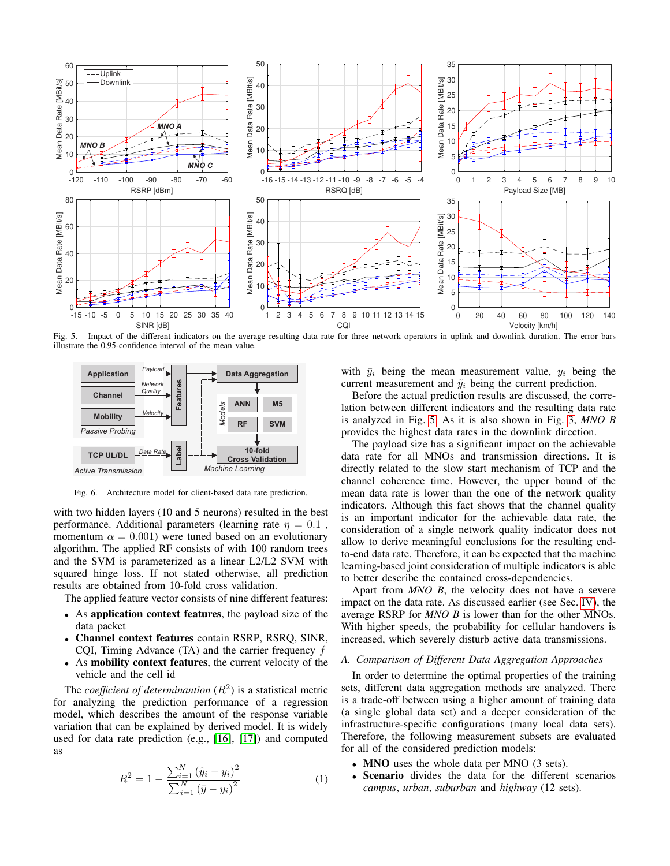

Fig. 5. Impact of the different indicators on the average resulting data rate for three network operators in uplink and downlink duration. The error bars illustrate the 0.95-confidence interval of the mean value.



Fig. 6. Architecture model for client-based data rate prediction.

with two hidden layers (10 and 5 neurons) resulted in the best performance. Additional parameters (learning rate  $\eta = 0.1$ , momentum  $\alpha = 0.001$ ) were tuned based on an evolutionary algorithm. The applied RF consists of with 100 random trees and the SVM is parameterized as a linear L2/L2 SVM with squared hinge loss. If not stated otherwise, all prediction results are obtained from 10-fold cross validation.

The applied feature vector consists of nine different features:

- As application context features, the payload size of the data packet
- Channel context features contain RSRP, RSRQ, SINR, CQI, Timing Advance (TA) and the carrier frequency  $f$
- As mobility context features, the current velocity of the vehicle and the cell id

The *coefficient of determinantion*  $(R^2)$  is a statistical metric for analyzing the prediction performance of a regression model, which describes the amount of the response variable variation that can be explained by derived model. It is widely used for data rate prediction (e.g., [\[16\]](#page-6-15), [\[17\]](#page-6-16)) and computed as

$$
R^{2} = 1 - \frac{\sum_{i=1}^{N} (\tilde{y}_{i} - y_{i})^{2}}{\sum_{i=1}^{N} (\bar{y} - y_{i})^{2}}
$$
(1)

<span id="page-3-1"></span>with  $\bar{y}_i$  being the mean measurement value,  $y_i$  being the current measurement and  $\tilde{y}_i$  being the current prediction.

Before the actual prediction results are discussed, the correlation between different indicators and the resulting data rate is analyzed in Fig. [5.](#page-3-1) As it is also shown in Fig. [3,](#page-1-3) *MNO B* provides the highest data rates in the downlink direction.

<span id="page-3-0"></span>The payload size has a significant impact on the achievable data rate for all MNOs and transmission directions. It is directly related to the slow start mechanism of TCP and the channel coherence time. However, the upper bound of the mean data rate is lower than the one of the network quality indicators. Although this fact shows that the channel quality is an important indicator for the achievable data rate, the consideration of a single network quality indicator does not allow to derive meaningful conclusions for the resulting endto-end data rate. Therefore, it can be expected that the machine learning-based joint consideration of multiple indicators is able to better describe the contained cross-dependencies.

Apart from *MNO B*, the velocity does not have a severe impact on the data rate. As discussed earlier (see Sec. [IV\)](#page-2-0), the average RSRP for *MNO B* is lower than for the other MNOs. With higher speeds, the probability for cellular handovers is increased, which severely disturb active data transmissions.

## *A. Comparison of Different Data Aggregation Approaches*

In order to determine the optimal properties of the training sets, different data aggregation methods are analyzed. There is a trade-off between using a higher amount of training data (a single global data set) and a deeper consideration of the infrastructure-specific configurations (many local data sets). Therefore, the following measurement subsets are evaluated for all of the considered prediction models:

- MNO uses the whole data per MNO (3 sets).
- Scenario divides the data for the different scenarios *campus*, *urban*, *suburban* and *highway* (12 sets).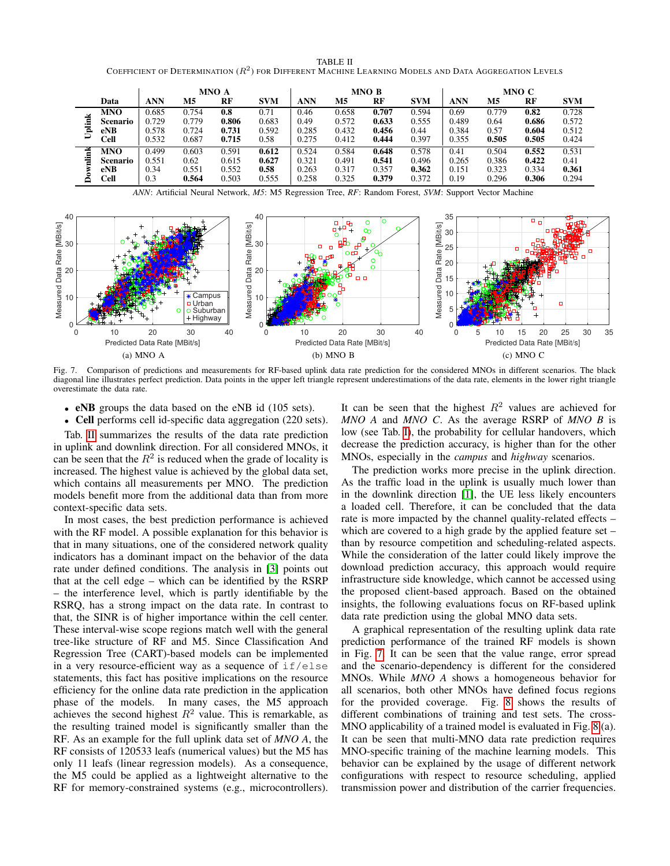TABLE II COEFFICIENT OF DETERMINATION ( $R^2$ ) for Different Machine Learning Models and Data Aggregation Levels

<span id="page-4-0"></span>

|             |            | MNO A |                |       | MNO B      |       |       |       | MNO C      |            |       |       |            |
|-------------|------------|-------|----------------|-------|------------|-------|-------|-------|------------|------------|-------|-------|------------|
|             | Data       | ANN   | M <sub>5</sub> | RF    | <b>SVM</b> | ANN   | M5    | RF    | <b>SVM</b> | <b>ANN</b> | M5    | RF    | <b>SVM</b> |
|             | MNO        | 0.685 | 0.754          | 0.8   | 0.71       | 0.46  | 0.658 | 0.707 | 0.594      | 0.69       | 0.779 | 0.82  | 0.728      |
| Ĕ           | Scenario   | 0.729 | 0.779          | 0.806 | 0.683      | 0.49  | 0.572 | 0.633 | 0.555      | 0.489      | 0.64  | 0.686 | 0.572      |
| jai         | eNB        | 0.578 | 0.724          | 0.731 | 0.592      | 0.285 | 0.432 | 0.456 | 0.44       | 0.384      | 0.57  | 0.604 | 0.512      |
|             | Cell       | 0.532 | 0.687          | 0.715 | 0.58       | 0.275 | 0.412 | 0.444 | 0.397      | 0.355      | 0.505 | 0.505 | 0.424      |
| Ě           | <b>MNO</b> | 0.499 | 0.603          | 0.591 | 0.612      | 0.524 | 0.584 | 0.648 | 0.578      | 0.41       | 0.504 | 0.552 | 0.531      |
| ä<br>≋<br>á | Scenario   | 0.551 | 0.62           | 0.615 | 0.627      | 0.321 | 0.491 | 0.541 | 0.496      | 0.265      | 0.386 | 0.422 | 0.41       |
|             | eNB        | 0.34  | 0.551          | 0.552 | 0.58       | 0.263 | 0.317 | 0.357 | 0.362      | 0.151      | 0.323 | 0.334 | 0.361      |
|             | Cell       | 0.3   | 0.564          | 0.503 | 0.555      | 0.258 | 0.325 | 0.379 | 0.372      | 0.19       | 0.296 | 0.306 | 0.294      |

*ANN*: Artificial Neural Network, *M5*: M5 Regression Tree, *RF*: Random Forest, *SVM*: Support Vector Machine



<span id="page-4-1"></span>Fig. 7. Comparison of predictions and measurements for RF-based uplink data rate prediction for the considered MNOs in different scenarios. The black diagonal line illustrates perfect prediction. Data points in the upper left triangle represent underestimations of the data rate, elements in the lower right triangle overestimate the data rate.

- eNB groups the data based on the eNB id (105 sets).
- Cell performs cell id-specific data aggregation (220 sets).

Tab. [II](#page-4-0) summarizes the results of the data rate prediction in uplink and downlink direction. For all considered MNOs, it can be seen that the  $R^2$  is reduced when the grade of locality is increased. The highest value is achieved by the global data set, which contains all measurements per MNO. The prediction models benefit more from the additional data than from more context-specific data sets.

In most cases, the best prediction performance is achieved with the RF model. A possible explanation for this behavior is that in many situations, one of the considered network quality indicators has a dominant impact on the behavior of the data rate under defined conditions. The analysis in [\[3\]](#page-6-2) points out that at the cell edge – which can be identified by the RSRP – the interference level, which is partly identifiable by the RSRQ, has a strong impact on the data rate. In contrast to that, the SINR is of higher importance within the cell center. These interval-wise scope regions match well with the general tree-like structure of RF and M5. Since Classification And Regression Tree (CART)-based models can be implemented in a very resource-efficient way as a sequence of  $if/else$ statements, this fact has positive implications on the resource efficiency for the online data rate prediction in the application phase of the models. In many cases, the M5 approach achieves the second highest  $R^2$  value. This is remarkable, as the resulting trained model is significantly smaller than the RF. As an example for the full uplink data set of *MNO A*, the RF consists of 120533 leafs (numerical values) but the M5 has only 11 leafs (linear regression models). As a consequence, the M5 could be applied as a lightweight alternative to the RF for memory-constrained systems (e.g., microcontrollers).

It can be seen that the highest  $R^2$  values are achieved for *MNO A* and *MNO C*. As the average RSRP of *MNO B* is low (see Tab. [I\)](#page-2-2), the probability for cellular handovers, which decrease the prediction accuracy, is higher than for the other MNOs, especially in the *campus* and *highway* scenarios.

The prediction works more precise in the uplink direction. As the traffic load in the uplink is usually much lower than in the downlink direction [\[1\]](#page-6-0), the UE less likely encounters a loaded cell. Therefore, it can be concluded that the data rate is more impacted by the channel quality-related effects – which are covered to a high grade by the applied feature set – than by resource competition and scheduling-related aspects. While the consideration of the latter could likely improve the download prediction accuracy, this approach would require infrastructure side knowledge, which cannot be accessed using the proposed client-based approach. Based on the obtained insights, the following evaluations focus on RF-based uplink data rate prediction using the global MNO data sets.

A graphical representation of the resulting uplink data rate prediction performance of the trained RF models is shown in Fig. [7.](#page-4-1) It can be seen that the value range, error spread and the scenario-dependency is different for the considered MNOs. While *MNO A* shows a homogeneous behavior for all scenarios, both other MNOs have defined focus regions for the provided coverage. Fig. [8](#page-5-0) shows the results of different combinations of training and test sets. The cross-MNO applicability of a trained model is evaluated in Fig. [8](#page-5-0) (a). It can be seen that multi-MNO data rate prediction requires MNO-specific training of the machine learning models. This behavior can be explained by the usage of different network configurations with respect to resource scheduling, applied transmission power and distribution of the carrier frequencies.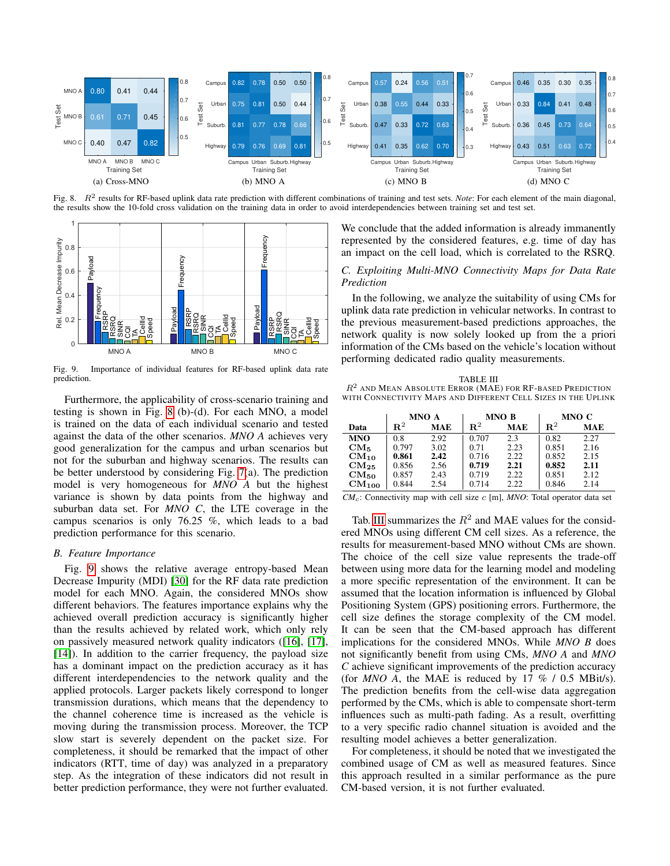

<span id="page-5-0"></span>Fig. 8. R<sup>2</sup> results for RF-based uplink data rate prediction with different combinations of training and test sets. Note: For each element of the main diagonal, the results show the 10-fold cross validation on the training data in order to avoid interdependencies between training set and test set.



<span id="page-5-1"></span>Fig. 9. Importance of individual features for RF-based uplink data rate prediction.

Furthermore, the applicability of cross-scenario training and testing is shown in Fig. [8](#page-5-0) (b)-(d). For each MNO, a model is trained on the data of each individual scenario and tested against the data of the other scenarios. *MNO A* achieves very good generalization for the campus and urban scenarios but not for the suburban and highway scenarios. The results can be better understood by considering Fig. [7\(](#page-4-1)a). The prediction model is very homogeneous for *MNO A* but the highest variance is shown by data points from the highway and suburban data set. For *MNO C*, the LTE coverage in the campus scenarios is only 76.25 %, which leads to a bad prediction performance for this scenario.

## *B. Feature Importance*

Fig. [9](#page-5-1) shows the relative average entropy-based Mean Decrease Impurity (MDI) [\[30\]](#page-6-29) for the RF data rate prediction model for each MNO. Again, the considered MNOs show different behaviors. The features importance explains why the achieved overall prediction accuracy is significantly higher than the results achieved by related work, which only rely on passively measured network quality indicators ([\[16\]](#page-6-15), [\[17\]](#page-6-16), [\[14\]](#page-6-13)). In addition to the carrier frequency, the payload size has a dominant impact on the prediction accuracy as it has different interdependencies to the network quality and the applied protocols. Larger packets likely correspond to longer transmission durations, which means that the dependency to the channel coherence time is increased as the vehicle is moving during the transmission process. Moreover, the TCP slow start is severely dependent on the packet size. For completeness, it should be remarked that the impact of other indicators (RTT, time of day) was analyzed in a preparatory step. As the integration of these indicators did not result in better prediction performance, they were not further evaluated.

We conclude that the added information is already immanently represented by the considered features, e.g. time of day has an impact on the cell load, which is correlated to the RSRQ.

# *C. Exploiting Multi-MNO Connectivity Maps for Data Rate Prediction*

In the following, we analyze the suitability of using CMs for uplink data rate prediction in vehicular networks. In contrast to the previous measurement-based predictions approaches, the network quality is now solely looked up from the a priori information of the CMs based on the vehicle's location without performing dedicated radio quality measurements.

<span id="page-5-2"></span>

| TABLE III                                                     |
|---------------------------------------------------------------|
| $R^2$ and Mean Absolute Error (MAE) for RF-based Prediction   |
| with Connectivity Maps and Different Cell Sizes in the Uplink |

|                     | MNO A       |            |                | MNO B      | MNO C       |            |  |
|---------------------|-------------|------------|----------------|------------|-------------|------------|--|
| Data                | ${\bf R}^2$ | <b>MAE</b> | $\mathbf{R}^2$ | <b>MAE</b> | ${\bf R}^2$ | <b>MAE</b> |  |
| <b>MNO</b>          | 0.8         | 2.92       | 0.707          | 2.3        | 0.82        | 2.27       |  |
| $CM_{5}$            | 0.797       | 3.02       | 0.71           | 2.23       | 0.851       | 2.16       |  |
| $CM_{10}$           | 0.861       | 2.42       | 0.716          | 2.22       | 0.852       | 2.15       |  |
| $CM_{25}$           | 0.856       | 2.56       | 0.719          | 2.21       | 0.852       | 2.11       |  |
| $CM_{50}$           | 0.857       | 2.43       | 0.719          | 2.22       | 0.851       | 2.12       |  |
| $\mathrm{CM}_{100}$ | 0.844       | 2.54       | 0.714          | 2.22       | 0.846       | 2.14       |  |

*CM*c: Connectivity map with cell size c [m], *MNO*: Total operator data set

Tab. [III](#page-5-2) summarizes the  $R^2$  and MAE values for the considered MNOs using different CM cell sizes. As a reference, the results for measurement-based MNO without CMs are shown. The choice of the cell size value represents the trade-off between using more data for the learning model and modeling a more specific representation of the environment. It can be assumed that the location information is influenced by Global Positioning System (GPS) positioning errors. Furthermore, the cell size defines the storage complexity of the CM model. It can be seen that the CM-based approach has different implications for the considered MNOs. While *MNO B* does not significantly benefit from using CMs, *MNO A* and *MNO C* achieve significant improvements of the prediction accuracy (for  $MNO$  A, the MAE is reduced by 17 % / 0.5 MBit/s). The prediction benefits from the cell-wise data aggregation performed by the CMs, which is able to compensate short-term influences such as multi-path fading. As a result, overfitting to a very specific radio channel situation is avoided and the resulting model achieves a better generalization.

For completeness, it should be noted that we investigated the combined usage of CM as well as measured features. Since this approach resulted in a similar performance as the pure CM-based version, it is not further evaluated.